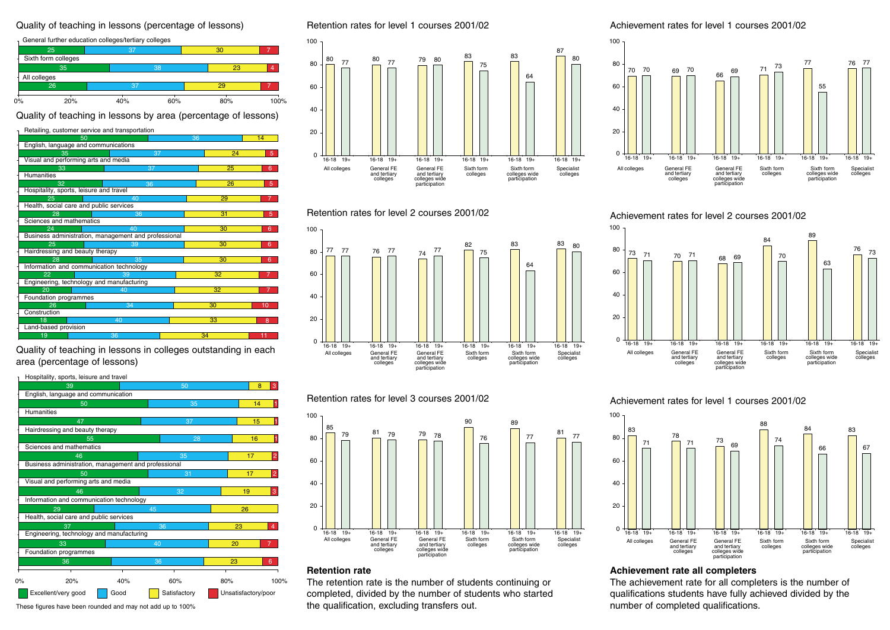### Quality of teaching in lessons (percentage of lessons)

|              | General further education colleges/tertiary colleges |     |     |     |         |  |
|--------------|------------------------------------------------------|-----|-----|-----|---------|--|
|              | 25                                                   |     | '37 |     |         |  |
|              | Sixth form colleges                                  |     |     |     |         |  |
|              | 35                                                   |     | 38  |     | 23<br>4 |  |
| All colleges |                                                      |     |     |     |         |  |
| 26           |                                                      | 37  |     |     |         |  |
| 0%           | 20%                                                  | 40% | 60% | 80% | 100%    |  |

Quality of teaching in lessons by area (percentage of lessons)

|                                         | Retailing, customer service and transportation       |    |              |  |  |  |
|-----------------------------------------|------------------------------------------------------|----|--------------|--|--|--|
| 50                                      |                                                      | 36 | 14           |  |  |  |
|                                         | English, language and communications                 |    |              |  |  |  |
| 35                                      | 37                                                   | 24 | 5            |  |  |  |
|                                         | Visual and performing arts and media                 |    |              |  |  |  |
| 33                                      | 37                                                   | 25 | 6            |  |  |  |
| <b>Humanities</b>                       |                                                      |    |              |  |  |  |
| 32                                      | 36                                                   | 26 | 5            |  |  |  |
|                                         | Hospitality, sports, leisure and travel              |    |              |  |  |  |
| 25                                      | 40                                                   | 29 | 7            |  |  |  |
| Health, social care and public services |                                                      |    |              |  |  |  |
| 28                                      | 36                                                   | 31 | 5            |  |  |  |
|                                         | Sciences and mathematics                             |    |              |  |  |  |
| 24                                      | 40                                                   | 30 | 6            |  |  |  |
|                                         | Business administration, management and professional |    |              |  |  |  |
| 25                                      | 39                                                   | 30 | 6            |  |  |  |
| Hairdressing and beauty therapy         |                                                      |    |              |  |  |  |
| 28                                      | 35                                                   | 30 | 6            |  |  |  |
|                                         | Information and communication technology             |    |              |  |  |  |
| 22                                      | 39                                                   | 32 | 7            |  |  |  |
|                                         | Engineering, technology and manufacturing            |    |              |  |  |  |
| 20                                      | 40                                                   | 32 |              |  |  |  |
|                                         | Foundation programmes                                |    |              |  |  |  |
| 26                                      | 34                                                   | 30 | 10           |  |  |  |
| Construction                            |                                                      |    |              |  |  |  |
| 18                                      | 40                                                   | 33 | $\mathsf{R}$ |  |  |  |
| Land-based provision                    |                                                      |    |              |  |  |  |
| 19                                      | 36                                                   | 34 | 11           |  |  |  |

Quality of teaching in lessons in colleges outstanding in each area (percentage of lessons)

Hospitality, sports, leisure and travel

|    | 39                                                    | 50  |    |              |     | 8                   | 3              |                |
|----|-------------------------------------------------------|-----|----|--------------|-----|---------------------|----------------|----------------|
|    | English, language and communication                   |     |    |              |     |                     |                |                |
|    | 50                                                    |     | 35 |              |     | 14                  |                |                |
|    | <b>Humanities</b>                                     |     |    |              |     |                     |                |                |
|    | 47                                                    |     | 37 |              |     | 15                  |                |                |
|    | Hairdressing and beauty therapy                       |     |    |              |     |                     |                |                |
|    | 55                                                    |     | 28 |              |     | 16                  |                |                |
|    | Sciences and mathematics                              |     |    |              |     |                     |                |                |
|    | 46                                                    | 35  |    |              | 17  |                     | $\overline{a}$ |                |
|    | Business administration, management and professional  |     |    |              |     |                     |                |                |
|    | 50                                                    |     | 31 |              |     | 17                  |                | $\overline{2}$ |
|    | Visual and performing arts and media                  |     |    |              |     |                     |                |                |
|    | 46                                                    |     |    | 32           |     | 19                  |                | 3              |
|    | Information and communication technology              |     |    |              |     |                     |                |                |
|    | 29                                                    | 45  |    |              |     | 26                  |                |                |
|    | Health, social care and public services               |     |    |              |     | 23                  |                | 4              |
|    | 37<br>36<br>Engineering, technology and manufacturing |     |    |              |     |                     |                |                |
|    | 33                                                    | 40  |    |              | 20  |                     |                | $\overline{7}$ |
|    | Foundation programmes                                 |     |    |              |     |                     |                |                |
|    | 36                                                    | 36  |    | 23           |     |                     | 6              |                |
|    |                                                       |     |    |              |     |                     |                |                |
| 0% | 20%                                                   | 40% |    | 60%          | 80% |                     |                | 100%           |
|    | Excellent/very good<br>Good                           |     |    | Satisfactory |     | Unsatisfactory/poor |                |                |

Retention rates for level 1 courses 2001/02







# Retention rates for level 3 courses 2001/02



# **Retention rate**

The retention rate is the number of students continuing or completed, divided by the number of students who started These figures have been rounded and may not add up to 100% the qualification, excluding transfers out.

Achievement rates for level 1 courses 2001/02



Achievement rates for level 2 courses 2001/02



## Achievement rates for level 1 courses 2001/02



# **Achievement rate all completers**

The achievement rate for all completers is the number of qualifications students have fully achieved divided by the number of completed qualifications.